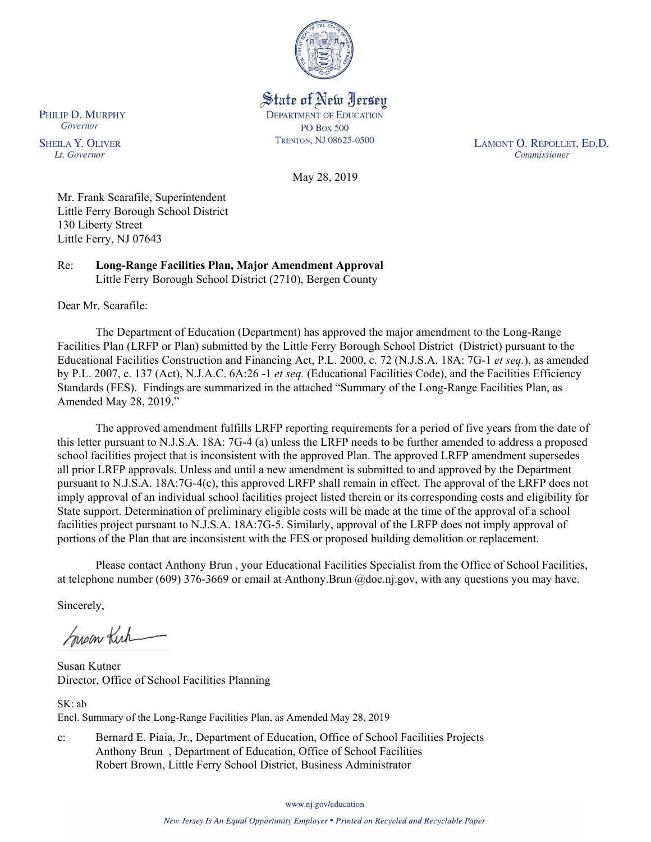

State of New Jersey **DEPARTMENT OF EDUCATION PO Box 500** TRENTON, NJ 08625-0500

LAMONT O. REPOLLET, ED.D. Commissioner

May 28, 2019

Mr. Frank Scarafile, Superintendent Little Ferry Borough School District 130 Liberty Street Little Ferry, NJ 07643

Re: **Long-Range Facilities Plan, Major Amendment Approval** Little Ferry Borough School District (2710), Bergen County

Dear Mr. Scarafile:

The Department of Education (Department) has approved the major amendment to the Long-Range Facilities Plan (LRFP or Plan) submitted by the Little Ferry Borough School District (District) pursuant to the Educational Facilities Construction and Financing Act, P.L. 2000, c. 72 (N.J.S.A. 18A: 7G-1 *et seq.*), as amended by P.L. 2007, c. 137 (Act), N.J.A.C. 6A:26 -1 *et seq.* (Educational Facilities Code), and the Facilities Efficiency Standards (FES). Findings are summarized in the attached "Summary of the Long-Range Facilities Plan, as Amended May 28, 2019."

The approved amendment fulfills LRFP reporting requirements for a period of five years from the date of this letter pursuant to N.J.S.A. 18A: 7G-4 (a) unless the LRFP needs to be further amended to address a proposed school facilities project that is inconsistent with the approved Plan. The approved LRFP amendment supersedes all prior LRFP approvals. Unless and until a new amendment is submitted to and approved by the Department pursuant to N.J.S.A. 18A:7G-4(c), this approved LRFP shall remain in effect. The approval of the LRFP does not imply approval of an individual school facilities project listed therein or its corresponding costs and eligibility for State support. Determination of preliminary eligible costs will be made at the time of the approval of a school facilities project pursuant to N.J.S.A. 18A:7G-5. Similarly, approval of the LRFP does not imply approval of portions of the Plan that are inconsistent with the FES or proposed building demolition or replacement.

Please contact Anthony Brun , your Educational Facilities Specialist from the Office of School Facilities, at telephone number (609) 376-3669 or email at Anthony.Brun @doe.nj.gov, with any questions you may have.

Sincerely,

Super Kick

Susan Kutner Director, Office of School Facilities Planning

SK: ab Encl. Summary of the Long-Range Facilities Plan, as Amended May 28, 2019

c: Bernard E. Piaia, Jr., Department of Education, Office of School Facilities Projects Anthony Brun , Department of Education, Office of School Facilities Robert Brown, Little Ferry School District, Business Administrator

www.nj.gov/education

PHILIP D. MURPHY Governor

**SHEILA Y. OLIVER** Lt. Governor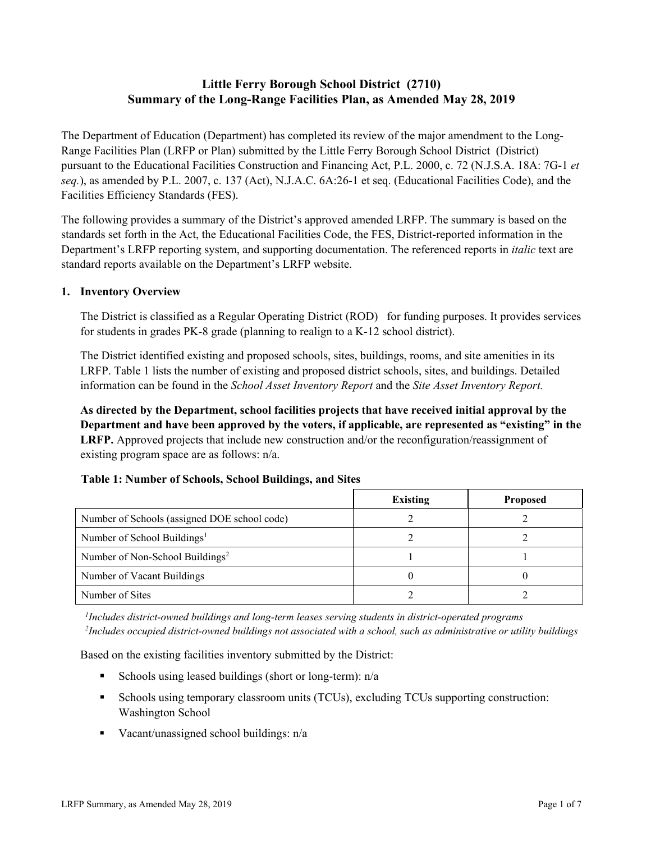# **Little Ferry Borough School District (2710) Summary of the Long-Range Facilities Plan, as Amended May 28, 2019**

The Department of Education (Department) has completed its review of the major amendment to the Long-Range Facilities Plan (LRFP or Plan) submitted by the Little Ferry Borough School District (District) pursuant to the Educational Facilities Construction and Financing Act, P.L. 2000, c. 72 (N.J.S.A. 18A: 7G-1 *et seq.*), as amended by P.L. 2007, c. 137 (Act), N.J.A.C. 6A:26-1 et seq. (Educational Facilities Code), and the Facilities Efficiency Standards (FES).

The following provides a summary of the District's approved amended LRFP. The summary is based on the standards set forth in the Act, the Educational Facilities Code, the FES, District-reported information in the Department's LRFP reporting system, and supporting documentation. The referenced reports in *italic* text are standard reports available on the Department's LRFP website.

#### **1. Inventory Overview**

The District is classified as a Regular Operating District (ROD) for funding purposes. It provides services for students in grades PK-8 grade (planning to realign to a K-12 school district).

The District identified existing and proposed schools, sites, buildings, rooms, and site amenities in its LRFP. Table 1 lists the number of existing and proposed district schools, sites, and buildings. Detailed information can be found in the *School Asset Inventory Report* and the *Site Asset Inventory Report.*

**As directed by the Department, school facilities projects that have received initial approval by the Department and have been approved by the voters, if applicable, are represented as "existing" in the LRFP.** Approved projects that include new construction and/or the reconfiguration/reassignment of existing program space are as follows: n/a.

# **Table 1: Number of Schools, School Buildings, and Sites**

|                                              | <b>Existing</b> | <b>Proposed</b> |
|----------------------------------------------|-----------------|-----------------|
| Number of Schools (assigned DOE school code) |                 |                 |
| Number of School Buildings <sup>1</sup>      |                 |                 |
| Number of Non-School Buildings <sup>2</sup>  |                 |                 |
| Number of Vacant Buildings                   |                 |                 |
| Number of Sites                              |                 |                 |

*1 Includes district-owned buildings and long-term leases serving students in district-operated programs 2 Includes occupied district-owned buildings not associated with a school, such as administrative or utility buildings*

Based on the existing facilities inventory submitted by the District:

- Schools using leased buildings (short or long-term):  $n/a$
- Schools using temporary classroom units (TCUs), excluding TCUs supporting construction: Washington School
- Vacant/unassigned school buildings:  $n/a$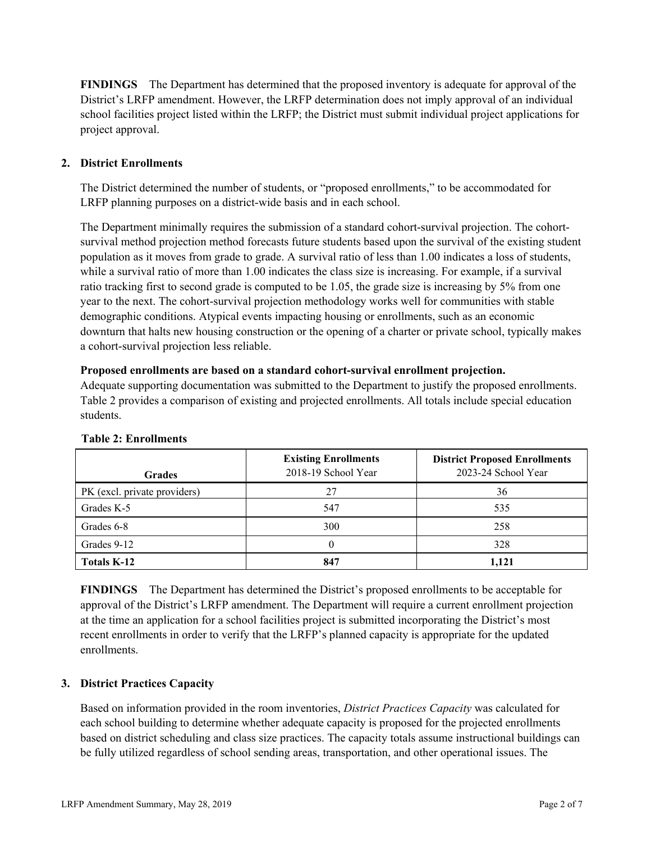**FINDINGS** The Department has determined that the proposed inventory is adequate for approval of the District's LRFP amendment. However, the LRFP determination does not imply approval of an individual school facilities project listed within the LRFP; the District must submit individual project applications for project approval.

# **2. District Enrollments**

The District determined the number of students, or "proposed enrollments," to be accommodated for LRFP planning purposes on a district-wide basis and in each school.

The Department minimally requires the submission of a standard cohort-survival projection. The cohortsurvival method projection method forecasts future students based upon the survival of the existing student population as it moves from grade to grade. A survival ratio of less than 1.00 indicates a loss of students, while a survival ratio of more than 1.00 indicates the class size is increasing. For example, if a survival ratio tracking first to second grade is computed to be 1.05, the grade size is increasing by 5% from one year to the next. The cohort-survival projection methodology works well for communities with stable demographic conditions. Atypical events impacting housing or enrollments, such as an economic downturn that halts new housing construction or the opening of a charter or private school, typically makes a cohort-survival projection less reliable.

#### **Proposed enrollments are based on a standard cohort-survival enrollment projection.**

Adequate supporting documentation was submitted to the Department to justify the proposed enrollments. Table 2 provides a comparison of existing and projected enrollments. All totals include special education students.

| <b>Grades</b>                | <b>Existing Enrollments</b><br>2018-19 School Year | <b>District Proposed Enrollments</b><br>2023-24 School Year |
|------------------------------|----------------------------------------------------|-------------------------------------------------------------|
| PK (excl. private providers) | 27                                                 | 36                                                          |
| Grades K-5                   | 547                                                | 535                                                         |
| Grades 6-8                   | 300                                                | 258                                                         |
| Grades 9-12                  |                                                    | 328                                                         |
| Totals K-12                  | 847                                                | 1,121                                                       |

#### **Table 2: Enrollments**

**FINDINGS** The Department has determined the District's proposed enrollments to be acceptable for approval of the District's LRFP amendment. The Department will require a current enrollment projection at the time an application for a school facilities project is submitted incorporating the District's most recent enrollments in order to verify that the LRFP's planned capacity is appropriate for the updated enrollments.

# **3. District Practices Capacity**

Based on information provided in the room inventories, *District Practices Capacity* was calculated for each school building to determine whether adequate capacity is proposed for the projected enrollments based on district scheduling and class size practices. The capacity totals assume instructional buildings can be fully utilized regardless of school sending areas, transportation, and other operational issues. The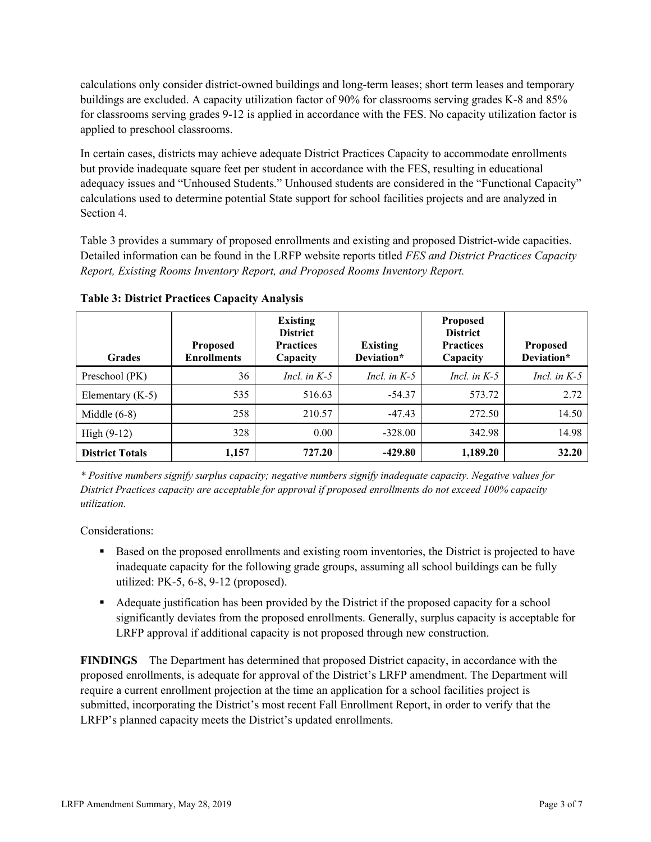calculations only consider district-owned buildings and long-term leases; short term leases and temporary buildings are excluded. A capacity utilization factor of 90% for classrooms serving grades K-8 and 85% for classrooms serving grades 9-12 is applied in accordance with the FES. No capacity utilization factor is applied to preschool classrooms.

In certain cases, districts may achieve adequate District Practices Capacity to accommodate enrollments but provide inadequate square feet per student in accordance with the FES, resulting in educational adequacy issues and "Unhoused Students." Unhoused students are considered in the "Functional Capacity" calculations used to determine potential State support for school facilities projects and are analyzed in Section 4.

Table 3 provides a summary of proposed enrollments and existing and proposed District-wide capacities. Detailed information can be found in the LRFP website reports titled *FES and District Practices Capacity Report, Existing Rooms Inventory Report, and Proposed Rooms Inventory Report.*

| <b>Grades</b>          | <b>Proposed</b><br><b>Enrollments</b> | <b>Existing</b><br><b>District</b><br><b>Practices</b><br>Capacity | <b>Existing</b><br>Deviation* | <b>Proposed</b><br><b>District</b><br><b>Practices</b><br>Capacity | <b>Proposed</b><br>Deviation* |
|------------------------|---------------------------------------|--------------------------------------------------------------------|-------------------------------|--------------------------------------------------------------------|-------------------------------|
| Preschool (PK)         | 36                                    | Incl. in $K-5$                                                     | Incl. in $K-5$                | Incl. in $K-5$                                                     | Incl. in $K-5$                |
| Elementary $(K-5)$     | 535                                   | 516.63                                                             | $-54.37$                      | 573.72                                                             | 2.72                          |
| Middle $(6-8)$         | 258                                   | 210.57                                                             | $-47.43$                      | 272.50                                                             | 14.50                         |
| High $(9-12)$          | 328                                   | 0.00                                                               | $-328.00$                     | 342.98                                                             | 14.98                         |
| <b>District Totals</b> | 1,157                                 | 727.20                                                             | $-429.80$                     | 1,189.20                                                           | 32.20                         |

**Table 3: District Practices Capacity Analysis**

*\* Positive numbers signify surplus capacity; negative numbers signify inadequate capacity. Negative values for District Practices capacity are acceptable for approval if proposed enrollments do not exceed 100% capacity utilization.*

Considerations:

- Based on the proposed enrollments and existing room inventories, the District is projected to have inadequate capacity for the following grade groups, assuming all school buildings can be fully utilized: PK-5, 6-8, 9-12 (proposed).
- Adequate justification has been provided by the District if the proposed capacity for a school significantly deviates from the proposed enrollments. Generally, surplus capacity is acceptable for LRFP approval if additional capacity is not proposed through new construction.

**FINDINGS**The Department has determined that proposed District capacity, in accordance with the proposed enrollments, is adequate for approval of the District's LRFP amendment. The Department will require a current enrollment projection at the time an application for a school facilities project is submitted, incorporating the District's most recent Fall Enrollment Report, in order to verify that the LRFP's planned capacity meets the District's updated enrollments.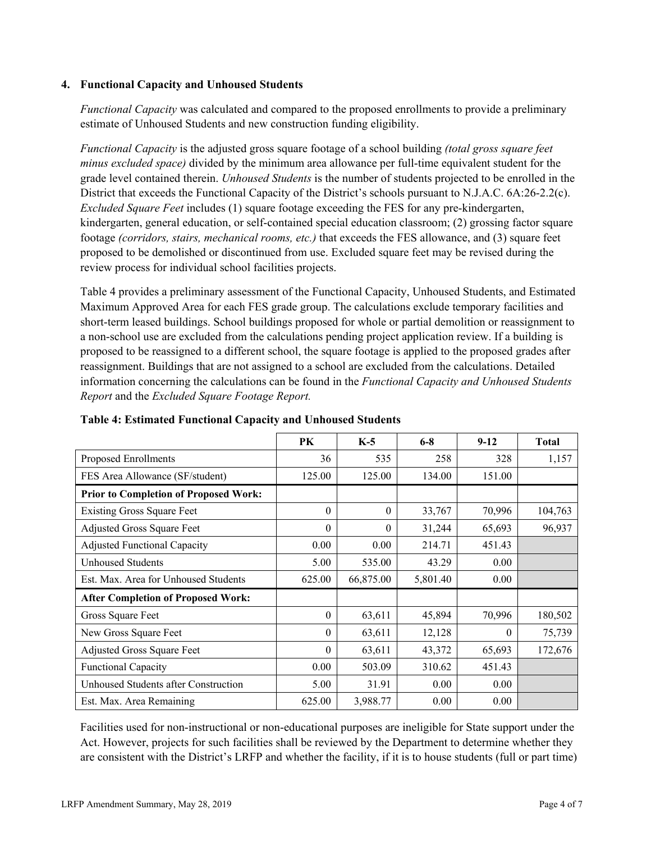#### **4. Functional Capacity and Unhoused Students**

*Functional Capacity* was calculated and compared to the proposed enrollments to provide a preliminary estimate of Unhoused Students and new construction funding eligibility.

*Functional Capacity* is the adjusted gross square footage of a school building *(total gross square feet minus excluded space)* divided by the minimum area allowance per full-time equivalent student for the grade level contained therein. *Unhoused Students* is the number of students projected to be enrolled in the District that exceeds the Functional Capacity of the District's schools pursuant to N.J.A.C. 6A:26-2.2(c). *Excluded Square Feet* includes (1) square footage exceeding the FES for any pre-kindergarten, kindergarten, general education, or self-contained special education classroom; (2) grossing factor square footage *(corridors, stairs, mechanical rooms, etc.)* that exceeds the FES allowance, and (3) square feet proposed to be demolished or discontinued from use. Excluded square feet may be revised during the review process for individual school facilities projects.

Table 4 provides a preliminary assessment of the Functional Capacity, Unhoused Students, and Estimated Maximum Approved Area for each FES grade group. The calculations exclude temporary facilities and short-term leased buildings. School buildings proposed for whole or partial demolition or reassignment to a non-school use are excluded from the calculations pending project application review. If a building is proposed to be reassigned to a different school, the square footage is applied to the proposed grades after reassignment. Buildings that are not assigned to a school are excluded from the calculations. Detailed information concerning the calculations can be found in the *Functional Capacity and Unhoused Students Report* and the *Excluded Square Footage Report.*

|                                              | <b>PK</b> | $K-5$     | $6 - 8$  | $9-12$   | <b>Total</b> |
|----------------------------------------------|-----------|-----------|----------|----------|--------------|
| Proposed Enrollments                         | 36        | 535       | 258      | 328      | 1,157        |
| FES Area Allowance (SF/student)              | 125.00    | 125.00    | 134.00   | 151.00   |              |
| <b>Prior to Completion of Proposed Work:</b> |           |           |          |          |              |
| <b>Existing Gross Square Feet</b>            | $\theta$  | $\theta$  | 33,767   | 70,996   | 104,763      |
| Adjusted Gross Square Feet                   | 0         | $\theta$  | 31,244   | 65,693   | 96,937       |
| <b>Adjusted Functional Capacity</b>          | 0.00      | 0.00      | 214.71   | 451.43   |              |
| <b>Unhoused Students</b>                     | 5.00      | 535.00    | 43.29    | 0.00     |              |
| Est. Max. Area for Unhoused Students         | 625.00    | 66,875.00 | 5,801.40 | 0.00     |              |
| <b>After Completion of Proposed Work:</b>    |           |           |          |          |              |
| Gross Square Feet                            | $\theta$  | 63,611    | 45,894   | 70,996   | 180,502      |
| New Gross Square Feet                        | $\theta$  | 63,611    | 12,128   | $\Omega$ | 75,739       |
| Adjusted Gross Square Feet                   | 0         | 63,611    | 43,372   | 65,693   | 172,676      |
| <b>Functional Capacity</b>                   | 0.00      | 503.09    | 310.62   | 451.43   |              |
| Unhoused Students after Construction         | 5.00      | 31.91     | 0.00     | 0.00     |              |
| Est. Max. Area Remaining                     | 625.00    | 3,988.77  | 0.00     | 0.00     |              |

**Table 4: Estimated Functional Capacity and Unhoused Students** 

Facilities used for non-instructional or non-educational purposes are ineligible for State support under the Act. However, projects for such facilities shall be reviewed by the Department to determine whether they are consistent with the District's LRFP and whether the facility, if it is to house students (full or part time)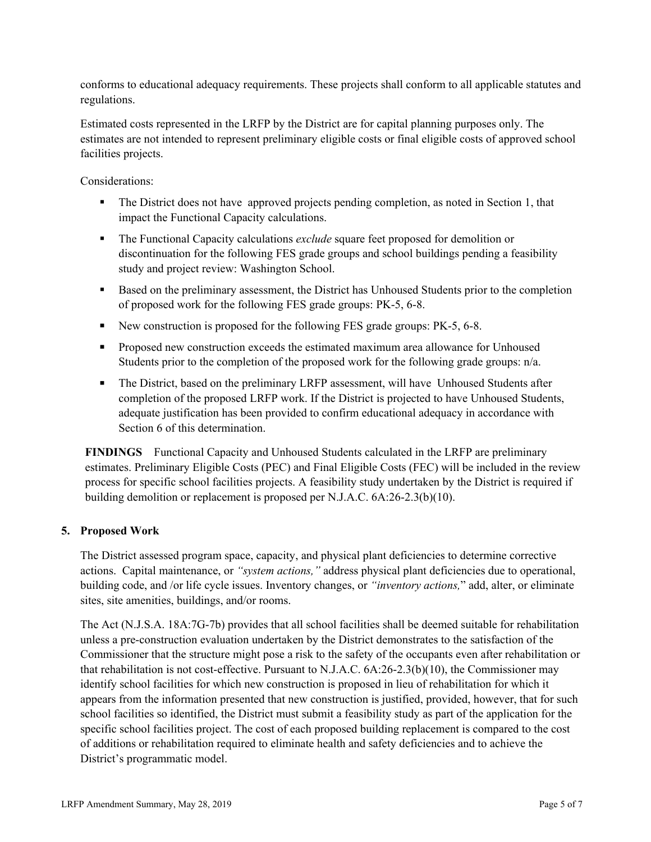conforms to educational adequacy requirements. These projects shall conform to all applicable statutes and regulations.

Estimated costs represented in the LRFP by the District are for capital planning purposes only. The estimates are not intended to represent preliminary eligible costs or final eligible costs of approved school facilities projects.

Considerations:

- The District does not have approved projects pending completion, as noted in Section 1, that impact the Functional Capacity calculations.
- The Functional Capacity calculations *exclude* square feet proposed for demolition or discontinuation for the following FES grade groups and school buildings pending a feasibility study and project review: Washington School.
- Based on the preliminary assessment, the District has Unhoused Students prior to the completion of proposed work for the following FES grade groups: PK-5, 6-8.
- New construction is proposed for the following FES grade groups: PK-5, 6-8.
- **Proposed new construction exceeds the estimated maximum area allowance for Unhoused** Students prior to the completion of the proposed work for the following grade groups: n/a.
- The District, based on the preliminary LRFP assessment, will have Unhoused Students after completion of the proposed LRFP work. If the District is projected to have Unhoused Students, adequate justification has been provided to confirm educational adequacy in accordance with Section 6 of this determination.

**FINDINGS** Functional Capacity and Unhoused Students calculated in the LRFP are preliminary estimates. Preliminary Eligible Costs (PEC) and Final Eligible Costs (FEC) will be included in the review process for specific school facilities projects. A feasibility study undertaken by the District is required if building demolition or replacement is proposed per N.J.A.C. 6A:26-2.3(b)(10).

# **5. Proposed Work**

The District assessed program space, capacity, and physical plant deficiencies to determine corrective actions. Capital maintenance, or *"system actions,"* address physical plant deficiencies due to operational, building code, and /or life cycle issues. Inventory changes, or *"inventory actions,*" add, alter, or eliminate sites, site amenities, buildings, and/or rooms.

The Act (N.J.S.A. 18A:7G-7b) provides that all school facilities shall be deemed suitable for rehabilitation unless a pre-construction evaluation undertaken by the District demonstrates to the satisfaction of the Commissioner that the structure might pose a risk to the safety of the occupants even after rehabilitation or that rehabilitation is not cost-effective. Pursuant to N.J.A.C. 6A:26-2.3(b)(10), the Commissioner may identify school facilities for which new construction is proposed in lieu of rehabilitation for which it appears from the information presented that new construction is justified, provided, however, that for such school facilities so identified, the District must submit a feasibility study as part of the application for the specific school facilities project. The cost of each proposed building replacement is compared to the cost of additions or rehabilitation required to eliminate health and safety deficiencies and to achieve the District's programmatic model.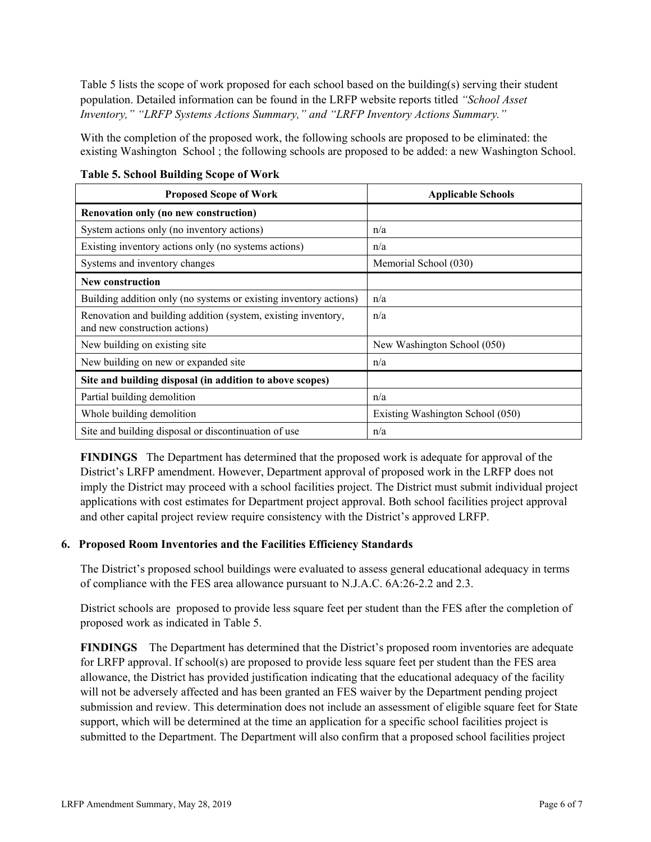Table 5 lists the scope of work proposed for each school based on the building(s) serving their student population. Detailed information can be found in the LRFP website reports titled *"School Asset Inventory," "LRFP Systems Actions Summary," and "LRFP Inventory Actions Summary."*

With the completion of the proposed work, the following schools are proposed to be eliminated: the existing Washington School ; the following schools are proposed to be added: a new Washington School.

| <b>Proposed Scope of Work</b>                                                                  | <b>Applicable Schools</b>        |
|------------------------------------------------------------------------------------------------|----------------------------------|
| Renovation only (no new construction)                                                          |                                  |
| System actions only (no inventory actions)                                                     | n/a                              |
| Existing inventory actions only (no systems actions)                                           | n/a                              |
| Systems and inventory changes                                                                  | Memorial School (030)            |
| New construction                                                                               |                                  |
| Building addition only (no systems or existing inventory actions)                              | n/a                              |
| Renovation and building addition (system, existing inventory,<br>and new construction actions) | n/a                              |
| New building on existing site                                                                  | New Washington School (050)      |
| New building on new or expanded site                                                           | n/a                              |
| Site and building disposal (in addition to above scopes)                                       |                                  |
| Partial building demolition                                                                    | n/a                              |
| Whole building demolition                                                                      | Existing Washington School (050) |
| Site and building disposal or discontinuation of use                                           | n/a                              |

**Table 5. School Building Scope of Work**

**FINDINGS** The Department has determined that the proposed work is adequate for approval of the District's LRFP amendment. However, Department approval of proposed work in the LRFP does not imply the District may proceed with a school facilities project. The District must submit individual project applications with cost estimates for Department project approval. Both school facilities project approval and other capital project review require consistency with the District's approved LRFP.

# **6. Proposed Room Inventories and the Facilities Efficiency Standards**

The District's proposed school buildings were evaluated to assess general educational adequacy in terms of compliance with the FES area allowance pursuant to N.J.A.C. 6A:26-2.2 and 2.3.

District schools are proposed to provide less square feet per student than the FES after the completion of proposed work as indicated in Table 5.

**FINDINGS** The Department has determined that the District's proposed room inventories are adequate for LRFP approval. If school(s) are proposed to provide less square feet per student than the FES area allowance, the District has provided justification indicating that the educational adequacy of the facility will not be adversely affected and has been granted an FES waiver by the Department pending project submission and review. This determination does not include an assessment of eligible square feet for State support, which will be determined at the time an application for a specific school facilities project is submitted to the Department. The Department will also confirm that a proposed school facilities project